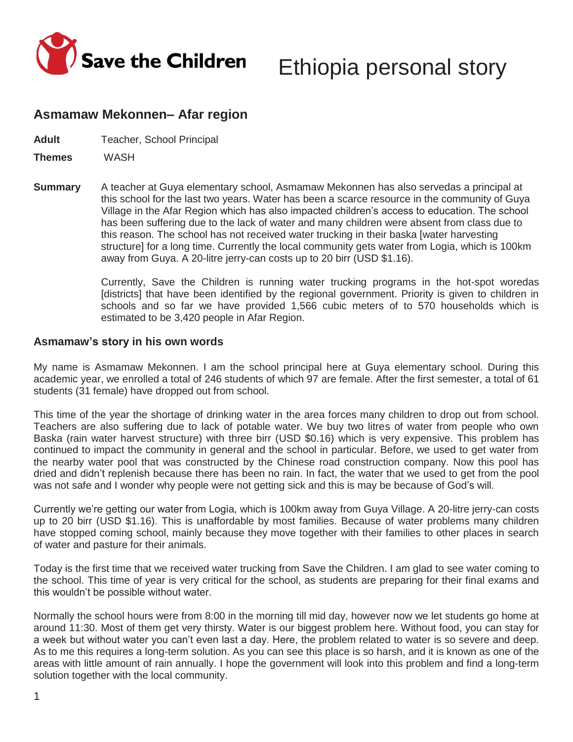

# **Asmamaw Mekonnen– Afar region**

**Adult** Teacher, School Principal

**Themes** WASH

**Summary** A teacher at Guya elementary school, Asmamaw Mekonnen has also servedas a principal at this school for the last two years. Water has been a scarce resource in the community of Guya Village in the Afar Region which has also impacted children's access to education. The school has been suffering due to the lack of water and many children were absent from class due to this reason. The school has not received water trucking in their baska [water harvesting structure] for a long time. Currently the local community gets water from Logia, which is 100km away from Guya. A 20-litre jerry-can costs up to 20 birr (USD \$1.16).

> Currently, Save the Children is running water trucking programs in the hot-spot woredas [districts] that have been identified by the regional government. Priority is given to children in schools and so far we have provided 1,566 cubic meters of to 570 households which is estimated to be 3,420 people in Afar Region.

### **Asmamaw's story in his own words**

My name is Asmamaw Mekonnen. I am the school principal here at Guya elementary school. During this academic year, we enrolled a total of 246 students of which 97 are female. After the first semester, a total of 61 students (31 female) have dropped out from school.

This time of the year the shortage of drinking water in the area forces many children to drop out from school. Teachers are also suffering due to lack of potable water. We buy two litres of water from people who own Baska (rain water harvest structure) with three birr (USD \$0.16) which is very expensive. This problem has continued to impact the community in general and the school in particular. Before, we used to get water from the nearby water pool that was constructed by the Chinese road construction company. Now this pool has dried and didn't replenish because there has been no rain. In fact, the water that we used to get from the pool was not safe and I wonder why people were not getting sick and this is may be because of God's will.

Currently we're getting our water from Logia, which is 100km away from Guya Village. A 20-litre jerry-can costs up to 20 birr (USD \$1.16). This is unaffordable by most families. Because of water problems many children have stopped coming school, mainly because they move together with their families to other places in search of water and pasture for their animals.

Today is the first time that we received water trucking from Save the Children. I am glad to see water coming to the school. This time of year is very critical for the school, as students are preparing for their final exams and this wouldn't be possible without water.

Normally the school hours were from 8:00 in the morning till mid day, however now we let students go home at around 11:30. Most of them get very thirsty. Water is our biggest problem here. Without food, you can stay for a week but without water you can't even last a day. Here, the problem related to water is so severe and deep. As to me this requires a long-term solution. As you can see this place is so harsh, and it is known as one of the areas with little amount of rain annually. I hope the government will look into this problem and find a long-term solution together with the local community.